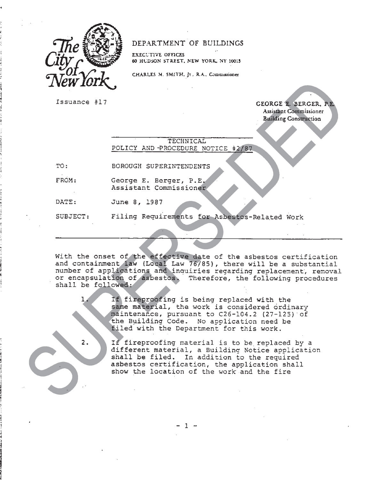

## DEPARTMENT OF BUILDINGS

**EXEC:T1VE OFFICES 60 HUDSON STREET. NEW YORK. NY 10013** 

CHARLES M. SMITH, Jt., R.A., Commissioner

**ISSUANCE #17 GEORGE E. BERGER, P.E. Assistant Commissioner Building Construction** 

## TECHNICAL POLICY AND -PROCEDURE NOTICE #2/87

TO: BOROUGH SUPERINTENDENTS

FROM: George E. Berger, P.E. Assistant Commissioner

DATE: June 8, 1987

2.

SUBJECT: Filing Requirements for Asbestos-Related Work 11.11

With the onset of the effective date of the asbestos certification and containment law (Local Law 76/85), there will be a substantial number of applications and inauiries regarding replacement, removal or encapsulation of asbestos. Therefore, the following procedures shall be followed:

> If fireproofing is being replaced with the same material, the work is considered ordinary maintenance, pursuant to C26-104.2 (27-125) of the Building Code. No application need be filed with the Department for this work.

If fireproofing material is to be replaced by a different material, a Building Notice application shall be filed. In addition to the required asbestos certification, the application shall show the location of the work and the fire

 $1 -$